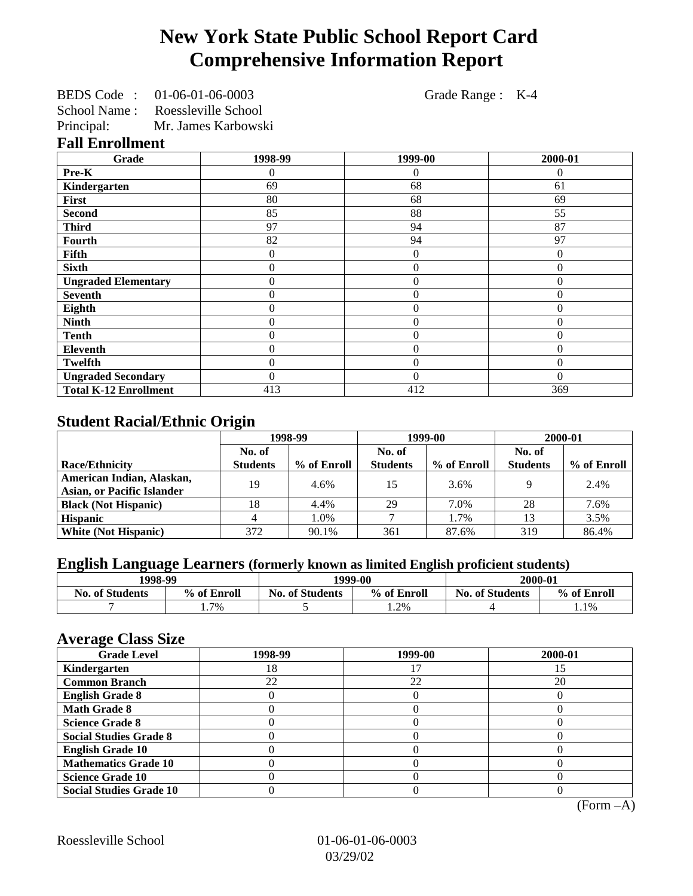# **New York State Public School Report Card Comprehensive Information Report**

BEDS Code : 01-06-01-06-0003 Grade Range : K-4 School Name : Roessleville School

Principal: Mr. James Karbowski

#### **Fall Enrollment**

| Grade                        | 1998-99        | 1999-00        | 2000-01  |
|------------------------------|----------------|----------------|----------|
| Pre-K                        | 0              | 0              | $\Omega$ |
| Kindergarten                 | 69             | 68             | 61       |
| First                        | 80             | 68             | 69       |
| <b>Second</b>                | 85             | 88             | 55       |
| <b>Third</b>                 | 97             | 94             | 87       |
| <b>Fourth</b>                | 82             | 94             | 97       |
| Fifth                        | 0              | $\theta$       | $\Omega$ |
| <b>Sixth</b>                 | 0              | $\theta$       | $\theta$ |
| <b>Ungraded Elementary</b>   | 0              | $\overline{0}$ | $\theta$ |
| <b>Seventh</b>               | $\overline{0}$ | $\theta$       | $\theta$ |
| Eighth                       | 0              | $\theta$       | $\Omega$ |
| <b>Ninth</b>                 | 0              | $\overline{0}$ | $\theta$ |
| <b>Tenth</b>                 | 0              | $\overline{0}$ | $\theta$ |
| <b>Eleventh</b>              | 0              | $\theta$       | $\Omega$ |
| <b>Twelfth</b>               | 0              | $\theta$       | $\Omega$ |
| <b>Ungraded Secondary</b>    | 0              | $\Omega$       | $\Omega$ |
| <b>Total K-12 Enrollment</b> | 413            | 412            | 369      |

## **Student Racial/Ethnic Origin**

|                                   | 1998-99         |             | 1999-00         |             | 2000-01         |             |
|-----------------------------------|-----------------|-------------|-----------------|-------------|-----------------|-------------|
|                                   | No. of          |             | No. of          |             | No. of          |             |
| <b>Race/Ethnicity</b>             | <b>Students</b> | % of Enroll | <b>Students</b> | % of Enroll | <b>Students</b> | % of Enroll |
| American Indian, Alaskan,         | 19              | 4.6%        | 15              | 3.6%        |                 | 2.4%        |
| <b>Asian, or Pacific Islander</b> |                 |             |                 |             |                 |             |
| <b>Black (Not Hispanic)</b>       | 18              | 4.4%        | 29              | 7.0%        | 28              | 7.6%        |
| <b>Hispanic</b>                   |                 | 1.0%        |                 | 1.7%        | 13              | 3.5%        |
| <b>White (Not Hispanic)</b>       | 372             | 90.1%       | 361             | 87.6%       | 319             | 86.4%       |

## **English Language Learners (formerly known as limited English proficient students)**

| 1998-99                |             | 1999-00                |             | 2000-01                |             |
|------------------------|-------------|------------------------|-------------|------------------------|-------------|
| <b>No. of Students</b> | % of Enroll | <b>No. of Students</b> | % of Enroll | <b>No. of Students</b> | % of Enroll |
|                        | 7%          |                        | 1.2%        |                        | 1.1%        |

#### **Average Class Size**

| $\epsilon$<br><b>Grade Level</b> | 1998-99 | 1999-00 | 2000-01 |
|----------------------------------|---------|---------|---------|
| Kindergarten                     | 18      |         |         |
| <b>Common Branch</b>             | 22      | 22      | 20      |
| <b>English Grade 8</b>           |         |         |         |
| <b>Math Grade 8</b>              |         |         |         |
| <b>Science Grade 8</b>           |         |         |         |
| <b>Social Studies Grade 8</b>    |         |         |         |
| <b>English Grade 10</b>          |         |         |         |
| <b>Mathematics Grade 10</b>      |         |         |         |
| <b>Science Grade 10</b>          |         |         |         |
| <b>Social Studies Grade 10</b>   |         |         |         |

(Form –A)